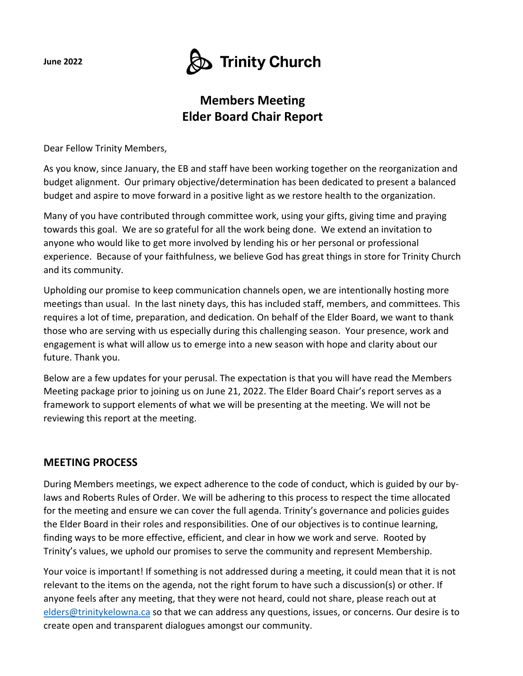**June 2022**

# $\bigcirc$  Trinity Church

## **Members Meeting Elder Board Chair Report**

Dear Fellow Trinity Members,

As you know, since January, the EB and staff have been working together on the reorganization and budget alignment. Our primary objective/determination has been dedicated to present a balanced budget and aspire to move forward in a positive light as we restore health to the organization.

Many of you have contributed through committee work, using your gifts, giving time and praying towards this goal. We are so grateful for all the work being done. We extend an invitation to anyone who would like to get more involved by lending his or her personal or professional experience. Because of your faithfulness, we believe God has great things in store for Trinity Church and its community.

Upholding our promise to keep communication channels open, we are intentionally hosting more meetings than usual. In the last ninety days, this has included staff, members, and committees. This requires a lot of time, preparation, and dedication. On behalf of the Elder Board, we want to thank those who are serving with us especially during this challenging season. Your presence, work and engagement is what will allow us to emerge into a new season with hope and clarity about our future. Thank you.

Below are a few updates for your perusal. The expectation is that you will have read the Members Meeting package prior to joining us on June 21, 2022. The Elder Board Chair's report serves as a framework to support elements of what we will be presenting at the meeting. We will not be reviewing this report at the meeting.

### **MEETING PROCESS**

During Members meetings, we expect adherence to the code of conduct, which is guided by our bylaws and Roberts Rules of Order. We will be adhering to this process to respect the time allocated for the meeting and ensure we can cover the full agenda. Trinity's governance and policies guides the Elder Board in their roles and responsibilities. One of our objectives is to continue learning, finding ways to be more effective, efficient, and clear in how we work and serve. Rooted by Trinity's values, we uphold our promises to serve the community and represent Membership.

Your voice is important! If something is not addressed during a meeting, it could mean that it is not relevant to the items on the agenda, not the right forum to have such a discussion(s) or other. If anyone feels after any meeting, that they were not heard, could not share, please reach out at elders@trinitykelowna.ca so that we can address any questions, issues, or concerns. Our desire is to create open and transparent dialogues amongst our community.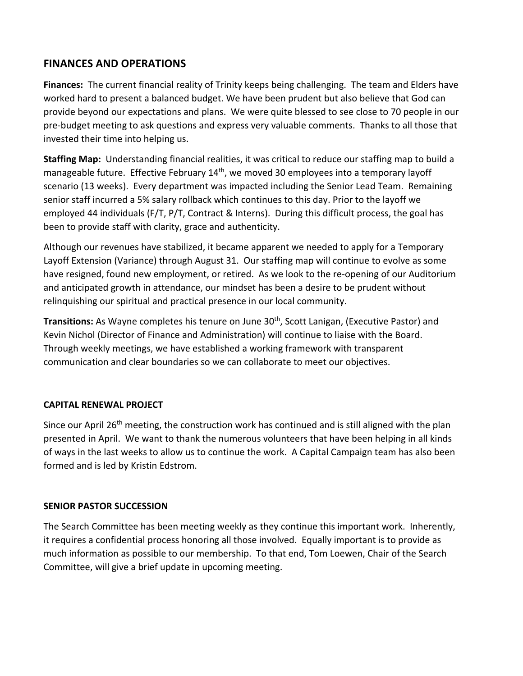### **FINANCES AND OPERATIONS**

**Finances:** The current financial reality of Trinity keeps being challenging. The team and Elders have worked hard to present a balanced budget. We have been prudent but also believe that God can provide beyond our expectations and plans. We were quite blessed to see close to 70 people in our pre-budget meeting to ask questions and express very valuable comments. Thanks to all those that invested their time into helping us.

**Staffing Map:** Understanding financial realities, it was critical to reduce our staffing map to build a manageable future. Effective February 14<sup>th</sup>, we moved 30 employees into a temporary layoff scenario (13 weeks). Every department was impacted including the Senior Lead Team. Remaining senior staff incurred a 5% salary rollback which continues to this day. Prior to the layoff we employed 44 individuals (F/T, P/T, Contract & Interns). During this difficult process, the goal has been to provide staff with clarity, grace and authenticity.

Although our revenues have stabilized, it became apparent we needed to apply for a Temporary Layoff Extension (Variance) through August 31. Our staffing map will continue to evolve as some have resigned, found new employment, or retired. As we look to the re-opening of our Auditorium and anticipated growth in attendance, our mindset has been a desire to be prudent without relinquishing our spiritual and practical presence in our local community.

**Transitions:** As Wayne completes his tenure on June 30th, Scott Lanigan, (Executive Pastor) and Kevin Nichol (Director of Finance and Administration) will continue to liaise with the Board. Through weekly meetings, we have established a working framework with transparent communication and clear boundaries so we can collaborate to meet our objectives.

#### **CAPITAL RENEWAL PROJECT**

Since our April 26<sup>th</sup> meeting, the construction work has continued and is still aligned with the plan presented in April. We want to thank the numerous volunteers that have been helping in all kinds of ways in the last weeks to allow us to continue the work. A Capital Campaign team has also been formed and is led by Kristin Edstrom.

### **SENIOR PASTOR SUCCESSION**

The Search Committee has been meeting weekly as they continue this important work. Inherently, it requires a confidential process honoring all those involved. Equally important is to provide as much information as possible to our membership. To that end, Tom Loewen, Chair of the Search Committee, will give a brief update in upcoming meeting.